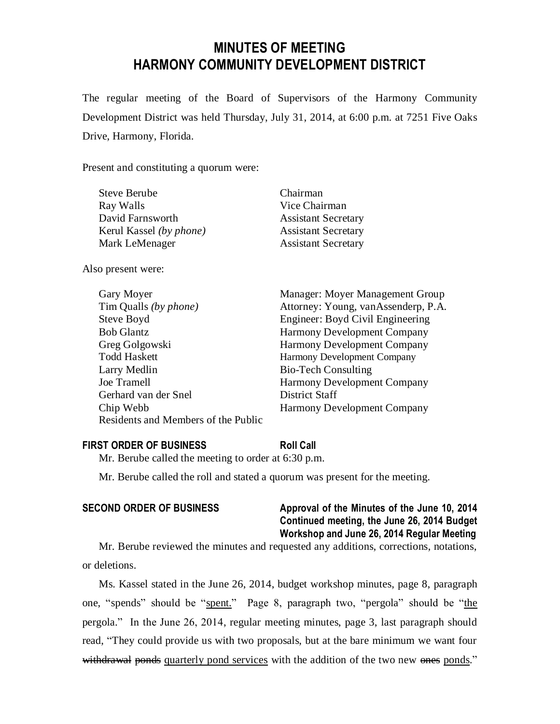# **MINUTES OF MEETING HARMONY COMMUNITY DEVELOPMENT DISTRICT**

The regular meeting of the Board of Supervisors of the Harmony Community Development District was held Thursday, July 31, 2014, at 6:00 p.m. at 7251 Five Oaks Drive, Harmony, Florida.

Present and constituting a quorum were:

| Chairman                   |
|----------------------------|
| Vice Chairman              |
| <b>Assistant Secretary</b> |
| <b>Assistant Secretary</b> |
| <b>Assistant Secretary</b> |
|                            |

Also present were:

| Gary Moyer                          | Manager: Moyer Management Group     |
|-------------------------------------|-------------------------------------|
| Tim Qualls (by phone)               | Attorney: Young, vanAssenderp, P.A. |
| Steve Boyd                          | Engineer: Boyd Civil Engineering    |
| <b>Bob Glantz</b>                   | <b>Harmony Development Company</b>  |
| Greg Golgowski                      | <b>Harmony Development Company</b>  |
| <b>Todd Haskett</b>                 | Harmony Development Company         |
| Larry Medlin                        | <b>Bio-Tech Consulting</b>          |
| <b>Joe Tramell</b>                  | <b>Harmony Development Company</b>  |
| Gerhard van der Snel                | District Staff                      |
| Chip Webb                           | <b>Harmony Development Company</b>  |
| Residents and Members of the Public |                                     |

#### **FIRST ORDER OF BUSINESS Roll Call**

Mr. Berube called the meeting to order at 6:30 p.m.

Mr. Berube called the roll and stated a quorum was present for the meeting.

# **SECOND ORDER OF BUSINESS Approval of the Minutes of the June 10, 2014 Continued meeting, the June 26, 2014 Budget Workshop and June 26, 2014 Regular Meeting**

Mr. Berube reviewed the minutes and requested any additions, corrections, notations, or deletions.

Ms. Kassel stated in the June 26, 2014, budget workshop minutes, page 8, paragraph one, "spends" should be "spent." Page 8, paragraph two, "pergola" should be "the pergola." In the June 26, 2014, regular meeting minutes, page 3, last paragraph should read, "They could provide us with two proposals, but at the bare minimum we want four withdrawal ponds quarterly pond services with the addition of the two new ones ponds."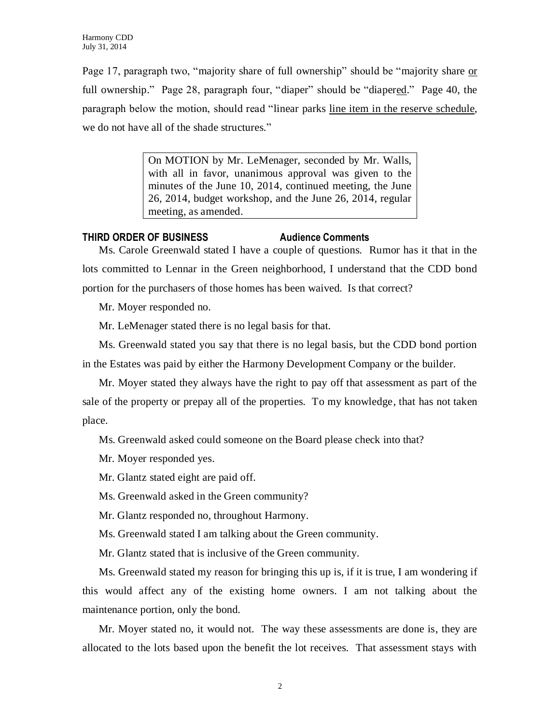Page 17, paragraph two, "majority share of full ownership" should be "majority share or full ownership." Page 28, paragraph four, "diaper" should be "diapered." Page 40, the paragraph below the motion, should read "linear parks line item in the reserve schedule, we do not have all of the shade structures."

> On MOTION by Mr. LeMenager, seconded by Mr. Walls, with all in favor, unanimous approval was given to the minutes of the June 10, 2014, continued meeting, the June 26, 2014, budget workshop, and the June 26, 2014, regular meeting, as amended.

# **THIRD ORDER OF BUSINESS Audience Comments**

Ms. Carole Greenwald stated I have a couple of questions. Rumor has it that in the lots committed to Lennar in the Green neighborhood, I understand that the CDD bond portion for the purchasers of those homes has been waived. Is that correct?

Mr. Moyer responded no.

Mr. LeMenager stated there is no legal basis for that.

Ms. Greenwald stated you say that there is no legal basis, but the CDD bond portion in the Estates was paid by either the Harmony Development Company or the builder.

Mr. Moyer stated they always have the right to pay off that assessment as part of the sale of the property or prepay all of the properties. To my knowledge, that has not taken place.

Ms. Greenwald asked could someone on the Board please check into that?

Mr. Moyer responded yes.

Mr. Glantz stated eight are paid off.

Ms. Greenwald asked in the Green community?

Mr. Glantz responded no, throughout Harmony.

Ms. Greenwald stated I am talking about the Green community.

Mr. Glantz stated that is inclusive of the Green community.

Ms. Greenwald stated my reason for bringing this up is, if it is true, I am wondering if this would affect any of the existing home owners. I am not talking about the maintenance portion, only the bond.

Mr. Moyer stated no, it would not. The way these assessments are done is, they are allocated to the lots based upon the benefit the lot receives. That assessment stays with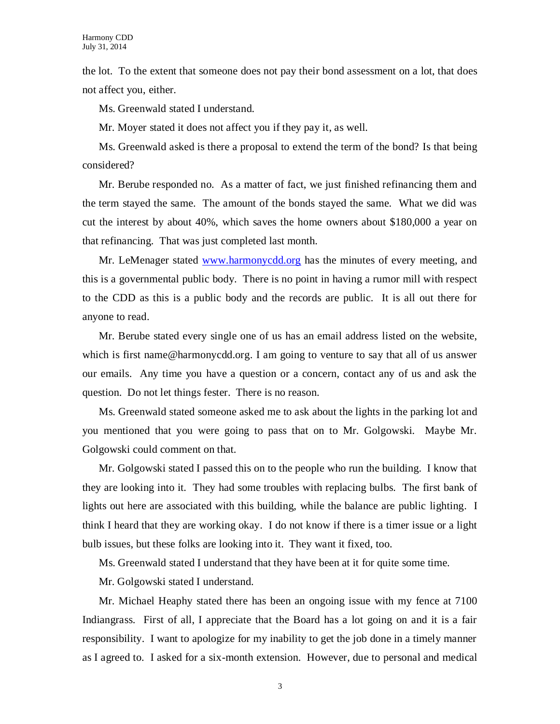the lot. To the extent that someone does not pay their bond assessment on a lot, that does not affect you, either.

Ms. Greenwald stated I understand.

Mr. Moyer stated it does not affect you if they pay it, as well.

Ms. Greenwald asked is there a proposal to extend the term of the bond? Is that being considered?

Mr. Berube responded no. As a matter of fact, we just finished refinancing them and the term stayed the same. The amount of the bonds stayed the same. What we did was cut the interest by about 40%, which saves the home owners about \$180,000 a year on that refinancing. That was just completed last month.

Mr. LeMenager stated [www.harmonycdd.org](http://www.harmonycdd.org/) has the minutes of every meeting, and this is a governmental public body. There is no point in having a rumor mill with respect to the CDD as this is a public body and the records are public. It is all out there for anyone to read.

Mr. Berube stated every single one of us has an email address listed on the website, which is first name@harmonycdd.org. I am going to venture to say that all of us answer our emails. Any time you have a question or a concern, contact any of us and ask the question. Do not let things fester. There is no reason.

Ms. Greenwald stated someone asked me to ask about the lights in the parking lot and you mentioned that you were going to pass that on to Mr. Golgowski. Maybe Mr. Golgowski could comment on that.

Mr. Golgowski stated I passed this on to the people who run the building. I know that they are looking into it. They had some troubles with replacing bulbs. The first bank of lights out here are associated with this building, while the balance are public lighting. I think I heard that they are working okay. I do not know if there is a timer issue or a light bulb issues, but these folks are looking into it. They want it fixed, too.

Ms. Greenwald stated I understand that they have been at it for quite some time.

Mr. Golgowski stated I understand.

Mr. Michael Heaphy stated there has been an ongoing issue with my fence at 7100 Indiangrass. First of all, I appreciate that the Board has a lot going on and it is a fair responsibility. I want to apologize for my inability to get the job done in a timely manner as I agreed to. I asked for a six-month extension. However, due to personal and medical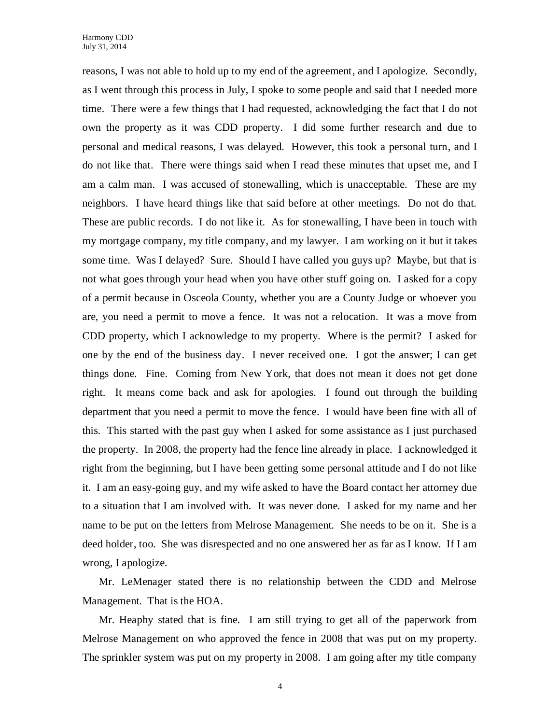reasons, I was not able to hold up to my end of the agreement, and I apologize. Secondly, as I went through this process in July, I spoke to some people and said that I needed more time. There were a few things that I had requested, acknowledging the fact that I do not own the property as it was CDD property. I did some further research and due to personal and medical reasons, I was delayed. However, this took a personal turn, and I do not like that. There were things said when I read these minutes that upset me, and I am a calm man. I was accused of stonewalling, which is unacceptable. These are my neighbors. I have heard things like that said before at other meetings. Do not do that. These are public records. I do not like it. As for stonewalling, I have been in touch with my mortgage company, my title company, and my lawyer. I am working on it but it takes some time. Was I delayed? Sure. Should I have called you guys up? Maybe, but that is not what goes through your head when you have other stuff going on. I asked for a copy of a permit because in Osceola County, whether you are a County Judge or whoever you are, you need a permit to move a fence. It was not a relocation. It was a move from CDD property, which I acknowledge to my property. Where is the permit? I asked for one by the end of the business day. I never received one. I got the answer; I can get things done. Fine. Coming from New York, that does not mean it does not get done right. It means come back and ask for apologies. I found out through the building department that you need a permit to move the fence. I would have been fine with all of this. This started with the past guy when I asked for some assistance as I just purchased the property. In 2008, the property had the fence line already in place. I acknowledged it right from the beginning, but I have been getting some personal attitude and I do not like it. I am an easy-going guy, and my wife asked to have the Board contact her attorney due to a situation that I am involved with. It was never done. I asked for my name and her name to be put on the letters from Melrose Management. She needs to be on it. She is a deed holder, too. She was disrespected and no one answered her as far as I know. If I am wrong, I apologize.

Mr. LeMenager stated there is no relationship between the CDD and Melrose Management. That is the HOA.

Mr. Heaphy stated that is fine. I am still trying to get all of the paperwork from Melrose Management on who approved the fence in 2008 that was put on my property. The sprinkler system was put on my property in 2008. I am going after my title company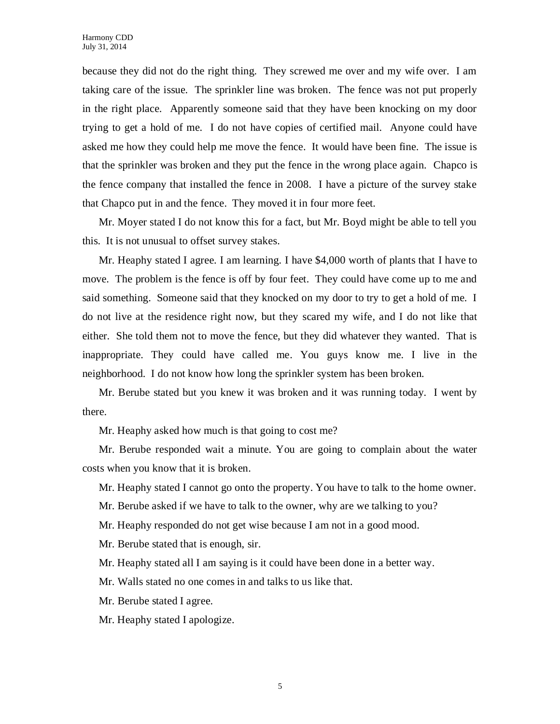because they did not do the right thing. They screwed me over and my wife over. I am taking care of the issue. The sprinkler line was broken. The fence was not put properly in the right place. Apparently someone said that they have been knocking on my door trying to get a hold of me. I do not have copies of certified mail. Anyone could have asked me how they could help me move the fence. It would have been fine. The issue is that the sprinkler was broken and they put the fence in the wrong place again. Chapco is the fence company that installed the fence in 2008. I have a picture of the survey stake that Chapco put in and the fence. They moved it in four more feet.

Mr. Moyer stated I do not know this for a fact, but Mr. Boyd might be able to tell you this. It is not unusual to offset survey stakes.

Mr. Heaphy stated I agree. I am learning. I have \$4,000 worth of plants that I have to move. The problem is the fence is off by four feet. They could have come up to me and said something. Someone said that they knocked on my door to try to get a hold of me. I do not live at the residence right now, but they scared my wife, and I do not like that either. She told them not to move the fence, but they did whatever they wanted. That is inappropriate. They could have called me. You guys know me. I live in the neighborhood. I do not know how long the sprinkler system has been broken.

Mr. Berube stated but you knew it was broken and it was running today. I went by there.

Mr. Heaphy asked how much is that going to cost me?

Mr. Berube responded wait a minute. You are going to complain about the water costs when you know that it is broken.

Mr. Heaphy stated I cannot go onto the property. You have to talk to the home owner.

Mr. Berube asked if we have to talk to the owner, why are we talking to you?

Mr. Heaphy responded do not get wise because I am not in a good mood.

Mr. Berube stated that is enough, sir.

Mr. Heaphy stated all I am saying is it could have been done in a better way.

Mr. Walls stated no one comes in and talks to us like that.

Mr. Berube stated I agree.

Mr. Heaphy stated I apologize.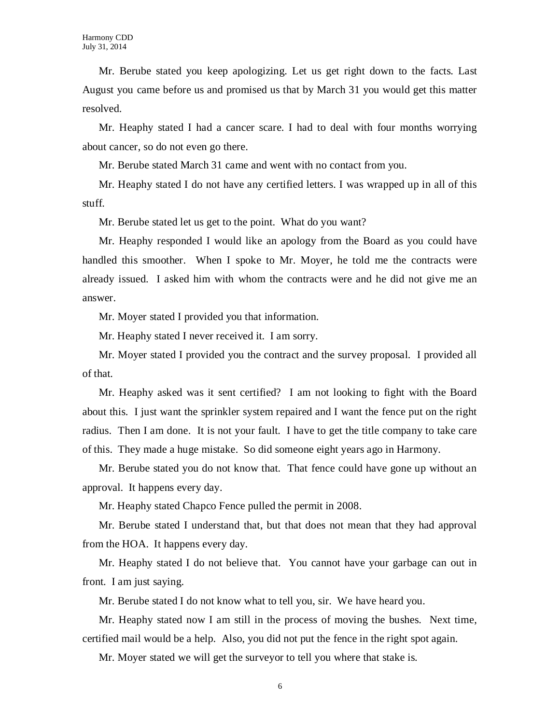Mr. Berube stated you keep apologizing. Let us get right down to the facts. Last August you came before us and promised us that by March 31 you would get this matter resolved.

Mr. Heaphy stated I had a cancer scare. I had to deal with four months worrying about cancer, so do not even go there.

Mr. Berube stated March 31 came and went with no contact from you.

Mr. Heaphy stated I do not have any certified letters. I was wrapped up in all of this stuff.

Mr. Berube stated let us get to the point. What do you want?

Mr. Heaphy responded I would like an apology from the Board as you could have handled this smoother. When I spoke to Mr. Moyer, he told me the contracts were already issued. I asked him with whom the contracts were and he did not give me an answer.

Mr. Moyer stated I provided you that information.

Mr. Heaphy stated I never received it. I am sorry.

Mr. Moyer stated I provided you the contract and the survey proposal. I provided all of that.

Mr. Heaphy asked was it sent certified? I am not looking to fight with the Board about this. I just want the sprinkler system repaired and I want the fence put on the right radius. Then I am done. It is not your fault. I have to get the title company to take care of this. They made a huge mistake. So did someone eight years ago in Harmony.

Mr. Berube stated you do not know that. That fence could have gone up without an approval. It happens every day.

Mr. Heaphy stated Chapco Fence pulled the permit in 2008.

Mr. Berube stated I understand that, but that does not mean that they had approval from the HOA. It happens every day.

Mr. Heaphy stated I do not believe that. You cannot have your garbage can out in front. I am just saying.

Mr. Berube stated I do not know what to tell you, sir. We have heard you.

Mr. Heaphy stated now I am still in the process of moving the bushes. Next time, certified mail would be a help. Also, you did not put the fence in the right spot again.

Mr. Moyer stated we will get the surveyor to tell you where that stake is.

6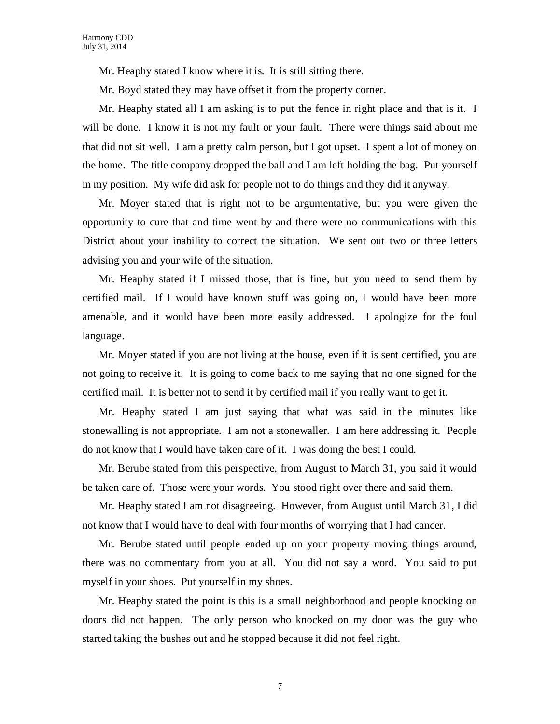Mr. Heaphy stated I know where it is. It is still sitting there.

Mr. Boyd stated they may have offset it from the property corner.

Mr. Heaphy stated all I am asking is to put the fence in right place and that is it. I will be done. I know it is not my fault or your fault. There were things said about me that did not sit well. I am a pretty calm person, but I got upset. I spent a lot of money on the home. The title company dropped the ball and I am left holding the bag. Put yourself in my position. My wife did ask for people not to do things and they did it anyway.

Mr. Moyer stated that is right not to be argumentative, but you were given the opportunity to cure that and time went by and there were no communications with this District about your inability to correct the situation. We sent out two or three letters advising you and your wife of the situation.

Mr. Heaphy stated if I missed those, that is fine, but you need to send them by certified mail. If I would have known stuff was going on, I would have been more amenable, and it would have been more easily addressed. I apologize for the foul language.

Mr. Moyer stated if you are not living at the house, even if it is sent certified, you are not going to receive it. It is going to come back to me saying that no one signed for the certified mail. It is better not to send it by certified mail if you really want to get it.

Mr. Heaphy stated I am just saying that what was said in the minutes like stonewalling is not appropriate. I am not a stonewaller. I am here addressing it. People do not know that I would have taken care of it. I was doing the best I could.

Mr. Berube stated from this perspective, from August to March 31, you said it would be taken care of. Those were your words. You stood right over there and said them.

Mr. Heaphy stated I am not disagreeing. However, from August until March 31, I did not know that I would have to deal with four months of worrying that I had cancer.

Mr. Berube stated until people ended up on your property moving things around, there was no commentary from you at all. You did not say a word. You said to put myself in your shoes. Put yourself in my shoes.

Mr. Heaphy stated the point is this is a small neighborhood and people knocking on doors did not happen. The only person who knocked on my door was the guy who started taking the bushes out and he stopped because it did not feel right.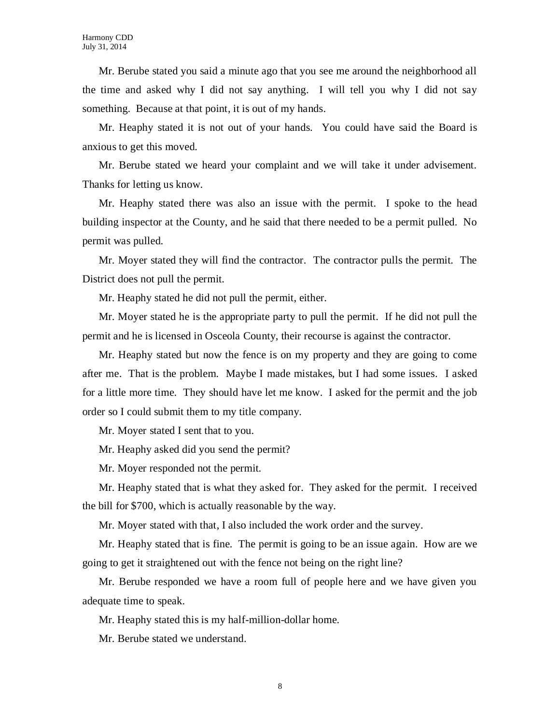Mr. Berube stated you said a minute ago that you see me around the neighborhood all the time and asked why I did not say anything. I will tell you why I did not say something. Because at that point, it is out of my hands.

Mr. Heaphy stated it is not out of your hands. You could have said the Board is anxious to get this moved.

Mr. Berube stated we heard your complaint and we will take it under advisement. Thanks for letting us know.

Mr. Heaphy stated there was also an issue with the permit. I spoke to the head building inspector at the County, and he said that there needed to be a permit pulled. No permit was pulled.

Mr. Moyer stated they will find the contractor. The contractor pulls the permit. The District does not pull the permit.

Mr. Heaphy stated he did not pull the permit, either.

Mr. Moyer stated he is the appropriate party to pull the permit. If he did not pull the permit and he is licensed in Osceola County, their recourse is against the contractor.

Mr. Heaphy stated but now the fence is on my property and they are going to come after me. That is the problem. Maybe I made mistakes, but I had some issues. I asked for a little more time. They should have let me know. I asked for the permit and the job order so I could submit them to my title company.

Mr. Moyer stated I sent that to you.

Mr. Heaphy asked did you send the permit?

Mr. Moyer responded not the permit.

Mr. Heaphy stated that is what they asked for. They asked for the permit. I received the bill for \$700, which is actually reasonable by the way.

Mr. Moyer stated with that, I also included the work order and the survey.

Mr. Heaphy stated that is fine. The permit is going to be an issue again. How are we going to get it straightened out with the fence not being on the right line?

Mr. Berube responded we have a room full of people here and we have given you adequate time to speak.

Mr. Heaphy stated this is my half-million-dollar home.

Mr. Berube stated we understand.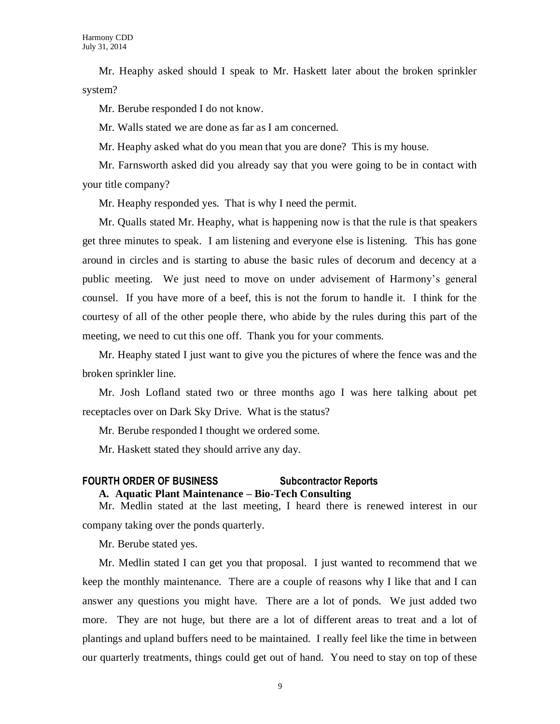Mr. Heaphy asked should I speak to Mr. Haskett later about the broken sprinkler system?

Mr. Berube responded I do not know.

Mr. Walls stated we are done as far as I am concerned.

Mr. Heaphy asked what do you mean that you are done? This is my house.

Mr. Farnsworth asked did you already say that you were going to be in contact with your title company?

Mr. Heaphy responded yes. That is why I need the permit.

Mr. Qualls stated Mr. Heaphy, what is happening now is that the rule is that speakers get three minutes to speak. I am listening and everyone else is listening. This has gone around in circles and is starting to abuse the basic rules of decorum and decency at a public meeting. We just need to move on under advisement of Harmony's general counsel. If you have more of a beef, this is not the forum to handle it. I think for the courtesy of all of the other people there, who abide by the rules during this part of the meeting, we need to cut this one off. Thank you for your comments.

Mr. Heaphy stated I just want to give you the pictures of where the fence was and the broken sprinkler line.

Mr. Josh Lofland stated two or three months ago I was here talking about pet receptacles over on Dark Sky Drive. What is the status?

Mr. Berube responded I thought we ordered some.

Mr. Haskett stated they should arrive any day.

### **FOURTH ORDER OF BUSINESS Subcontractor Reports A. Aquatic Plant Maintenance – Bio-Tech Consulting**

Mr. Medlin stated at the last meeting, I heard there is renewed interest in our company taking over the ponds quarterly.

Mr. Berube stated yes.

Mr. Medlin stated I can get you that proposal. I just wanted to recommend that we keep the monthly maintenance. There are a couple of reasons why I like that and I can answer any questions you might have. There are a lot of ponds. We just added two more. They are not huge, but there are a lot of different areas to treat and a lot of plantings and upland buffers need to be maintained. I really feel like the time in between our quarterly treatments, things could get out of hand. You need to stay on top of these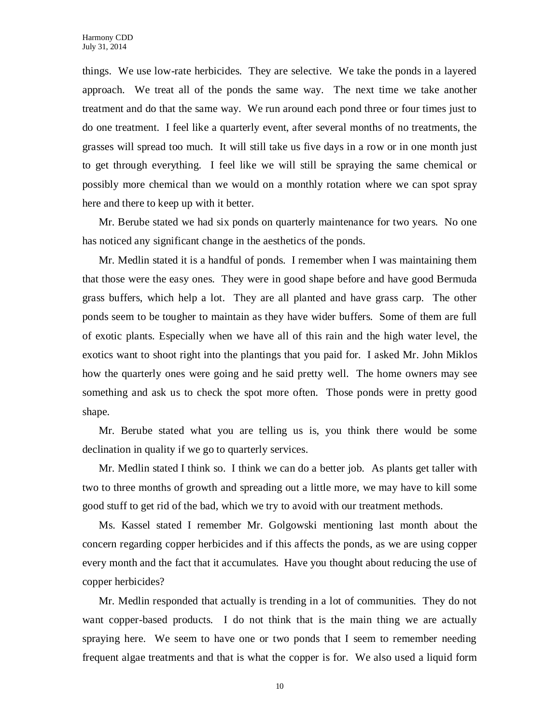things. We use low-rate herbicides. They are selective. We take the ponds in a layered approach. We treat all of the ponds the same way. The next time we take another treatment and do that the same way. We run around each pond three or four times just to do one treatment. I feel like a quarterly event, after several months of no treatments, the grasses will spread too much. It will still take us five days in a row or in one month just to get through everything. I feel like we will still be spraying the same chemical or possibly more chemical than we would on a monthly rotation where we can spot spray here and there to keep up with it better.

Mr. Berube stated we had six ponds on quarterly maintenance for two years. No one has noticed any significant change in the aesthetics of the ponds.

Mr. Medlin stated it is a handful of ponds. I remember when I was maintaining them that those were the easy ones. They were in good shape before and have good Bermuda grass buffers, which help a lot. They are all planted and have grass carp. The other ponds seem to be tougher to maintain as they have wider buffers. Some of them are full of exotic plants. Especially when we have all of this rain and the high water level, the exotics want to shoot right into the plantings that you paid for. I asked Mr. John Miklos how the quarterly ones were going and he said pretty well. The home owners may see something and ask us to check the spot more often. Those ponds were in pretty good shape.

Mr. Berube stated what you are telling us is, you think there would be some declination in quality if we go to quarterly services.

Mr. Medlin stated I think so. I think we can do a better job. As plants get taller with two to three months of growth and spreading out a little more, we may have to kill some good stuff to get rid of the bad, which we try to avoid with our treatment methods.

Ms. Kassel stated I remember Mr. Golgowski mentioning last month about the concern regarding copper herbicides and if this affects the ponds, as we are using copper every month and the fact that it accumulates. Have you thought about reducing the use of copper herbicides?

Mr. Medlin responded that actually is trending in a lot of communities. They do not want copper-based products. I do not think that is the main thing we are actually spraying here. We seem to have one or two ponds that I seem to remember needing frequent algae treatments and that is what the copper is for. We also used a liquid form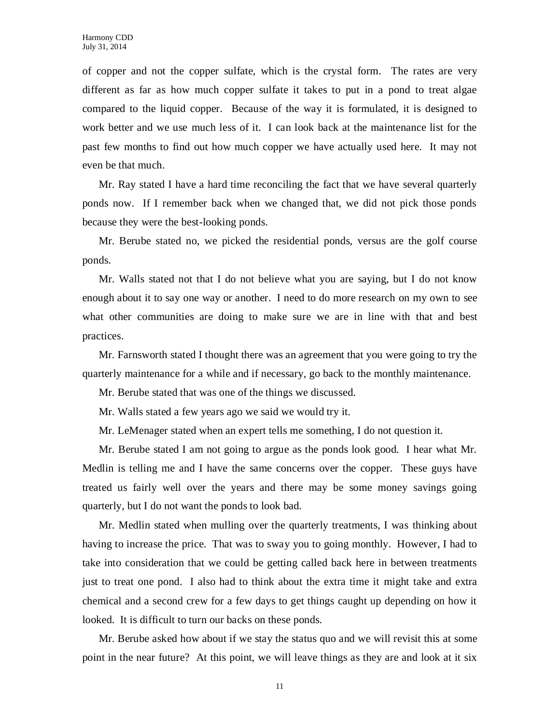of copper and not the copper sulfate, which is the crystal form. The rates are very different as far as how much copper sulfate it takes to put in a pond to treat algae compared to the liquid copper. Because of the way it is formulated, it is designed to work better and we use much less of it. I can look back at the maintenance list for the past few months to find out how much copper we have actually used here. It may not even be that much.

Mr. Ray stated I have a hard time reconciling the fact that we have several quarterly ponds now. If I remember back when we changed that, we did not pick those ponds because they were the best-looking ponds.

Mr. Berube stated no, we picked the residential ponds, versus are the golf course ponds.

Mr. Walls stated not that I do not believe what you are saying, but I do not know enough about it to say one way or another. I need to do more research on my own to see what other communities are doing to make sure we are in line with that and best practices.

Mr. Farnsworth stated I thought there was an agreement that you were going to try the quarterly maintenance for a while and if necessary, go back to the monthly maintenance.

Mr. Berube stated that was one of the things we discussed.

Mr. Walls stated a few years ago we said we would try it.

Mr. LeMenager stated when an expert tells me something, I do not question it.

Mr. Berube stated I am not going to argue as the ponds look good. I hear what Mr. Medlin is telling me and I have the same concerns over the copper. These guys have treated us fairly well over the years and there may be some money savings going quarterly, but I do not want the ponds to look bad.

Mr. Medlin stated when mulling over the quarterly treatments, I was thinking about having to increase the price. That was to sway you to going monthly. However, I had to take into consideration that we could be getting called back here in between treatments just to treat one pond. I also had to think about the extra time it might take and extra chemical and a second crew for a few days to get things caught up depending on how it looked. It is difficult to turn our backs on these ponds.

Mr. Berube asked how about if we stay the status quo and we will revisit this at some point in the near future? At this point, we will leave things as they are and look at it six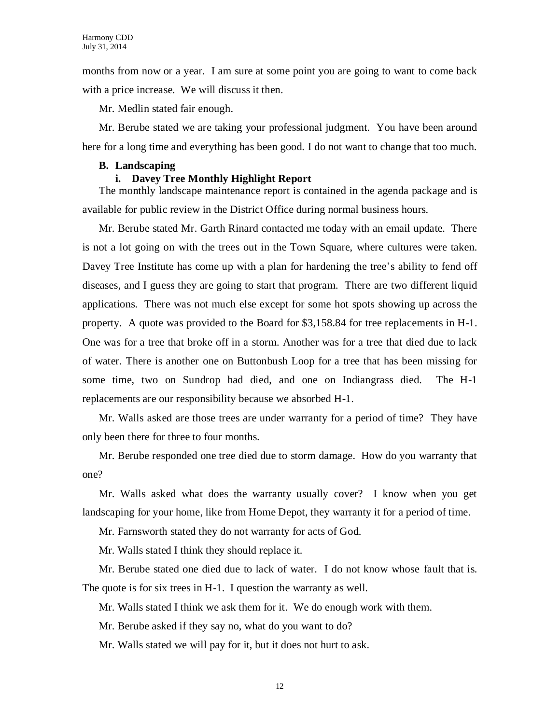months from now or a year. I am sure at some point you are going to want to come back with a price increase. We will discuss it then.

Mr. Medlin stated fair enough.

Mr. Berube stated we are taking your professional judgment. You have been around here for a long time and everything has been good. I do not want to change that too much.

#### **B. Landscaping**

### **i. Davey Tree Monthly Highlight Report**

The monthly landscape maintenance report is contained in the agenda package and is available for public review in the District Office during normal business hours.

Mr. Berube stated Mr. Garth Rinard contacted me today with an email update. There is not a lot going on with the trees out in the Town Square, where cultures were taken. Davey Tree Institute has come up with a plan for hardening the tree's ability to fend off diseases, and I guess they are going to start that program. There are two different liquid applications. There was not much else except for some hot spots showing up across the property. A quote was provided to the Board for \$3,158.84 for tree replacements in H-1. One was for a tree that broke off in a storm. Another was for a tree that died due to lack of water. There is another one on Buttonbush Loop for a tree that has been missing for some time, two on Sundrop had died, and one on Indiangrass died. The H-1 replacements are our responsibility because we absorbed H-1.

Mr. Walls asked are those trees are under warranty for a period of time? They have only been there for three to four months.

Mr. Berube responded one tree died due to storm damage. How do you warranty that one?

Mr. Walls asked what does the warranty usually cover? I know when you get landscaping for your home, like from Home Depot, they warranty it for a period of time.

Mr. Farnsworth stated they do not warranty for acts of God.

Mr. Walls stated I think they should replace it.

Mr. Berube stated one died due to lack of water. I do not know whose fault that is. The quote is for six trees in H-1. I question the warranty as well.

Mr. Walls stated I think we ask them for it. We do enough work with them.

Mr. Berube asked if they say no, what do you want to do?

Mr. Walls stated we will pay for it, but it does not hurt to ask.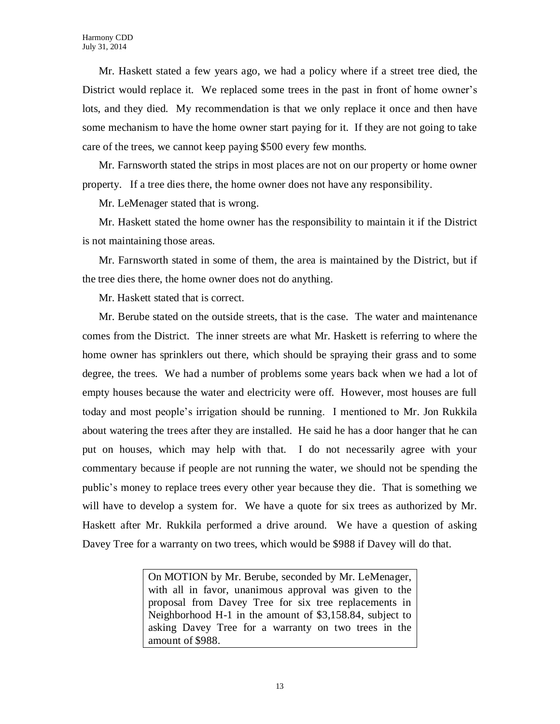Mr. Haskett stated a few years ago, we had a policy where if a street tree died, the District would replace it. We replaced some trees in the past in front of home owner's lots, and they died. My recommendation is that we only replace it once and then have some mechanism to have the home owner start paying for it. If they are not going to take care of the trees, we cannot keep paying \$500 every few months.

Mr. Farnsworth stated the strips in most places are not on our property or home owner property. If a tree dies there, the home owner does not have any responsibility.

Mr. LeMenager stated that is wrong.

Mr. Haskett stated the home owner has the responsibility to maintain it if the District is not maintaining those areas.

Mr. Farnsworth stated in some of them, the area is maintained by the District, but if the tree dies there, the home owner does not do anything.

Mr. Haskett stated that is correct.

Mr. Berube stated on the outside streets, that is the case. The water and maintenance comes from the District. The inner streets are what Mr. Haskett is referring to where the home owner has sprinklers out there, which should be spraying their grass and to some degree, the trees. We had a number of problems some years back when we had a lot of empty houses because the water and electricity were off. However, most houses are full today and most people's irrigation should be running. I mentioned to Mr. Jon Rukkila about watering the trees after they are installed. He said he has a door hanger that he can put on houses, which may help with that. I do not necessarily agree with your commentary because if people are not running the water, we should not be spending the public's money to replace trees every other year because they die. That is something we will have to develop a system for. We have a quote for six trees as authorized by Mr. Haskett after Mr. Rukkila performed a drive around. We have a question of asking Davey Tree for a warranty on two trees, which would be \$988 if Davey will do that.

> On MOTION by Mr. Berube, seconded by Mr. LeMenager, with all in favor, unanimous approval was given to the proposal from Davey Tree for six tree replacements in Neighborhood H-1 in the amount of \$3,158.84, subject to asking Davey Tree for a warranty on two trees in the amount of \$988.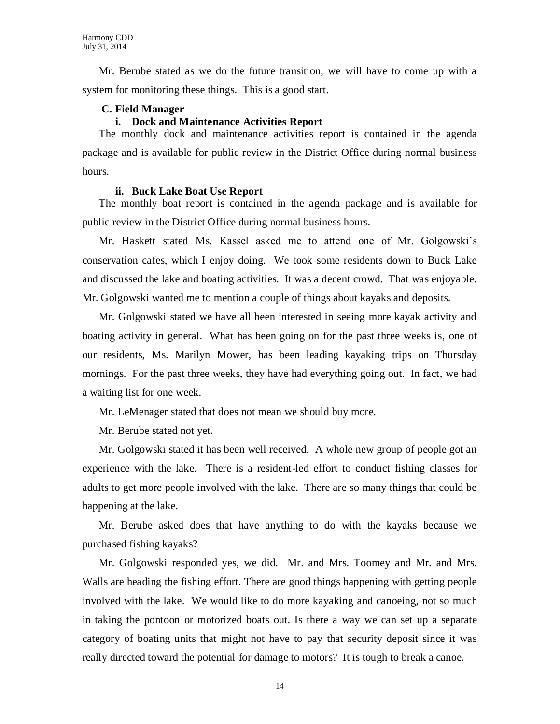Mr. Berube stated as we do the future transition, we will have to come up with a system for monitoring these things. This is a good start.

#### **C. Field Manager**

#### **i. Dock and Maintenance Activities Report**

The monthly dock and maintenance activities report is contained in the agenda package and is available for public review in the District Office during normal business hours.

#### **ii. Buck Lake Boat Use Report**

The monthly boat report is contained in the agenda package and is available for public review in the District Office during normal business hours.

Mr. Haskett stated Ms. Kassel asked me to attend one of Mr. Golgowski's conservation cafes, which I enjoy doing. We took some residents down to Buck Lake and discussed the lake and boating activities. It was a decent crowd. That was enjoyable. Mr. Golgowski wanted me to mention a couple of things about kayaks and deposits.

Mr. Golgowski stated we have all been interested in seeing more kayak activity and boating activity in general. What has been going on for the past three weeks is, one of our residents, Ms. Marilyn Mower, has been leading kayaking trips on Thursday mornings. For the past three weeks, they have had everything going out. In fact, we had a waiting list for one week.

Mr. LeMenager stated that does not mean we should buy more.

Mr. Berube stated not yet.

Mr. Golgowski stated it has been well received. A whole new group of people got an experience with the lake. There is a resident-led effort to conduct fishing classes for adults to get more people involved with the lake. There are so many things that could be happening at the lake.

Mr. Berube asked does that have anything to do with the kayaks because we purchased fishing kayaks?

Mr. Golgowski responded yes, we did. Mr. and Mrs. Toomey and Mr. and Mrs. Walls are heading the fishing effort. There are good things happening with getting people involved with the lake. We would like to do more kayaking and canoeing, not so much in taking the pontoon or motorized boats out. Is there a way we can set up a separate category of boating units that might not have to pay that security deposit since it was really directed toward the potential for damage to motors? It is tough to break a canoe.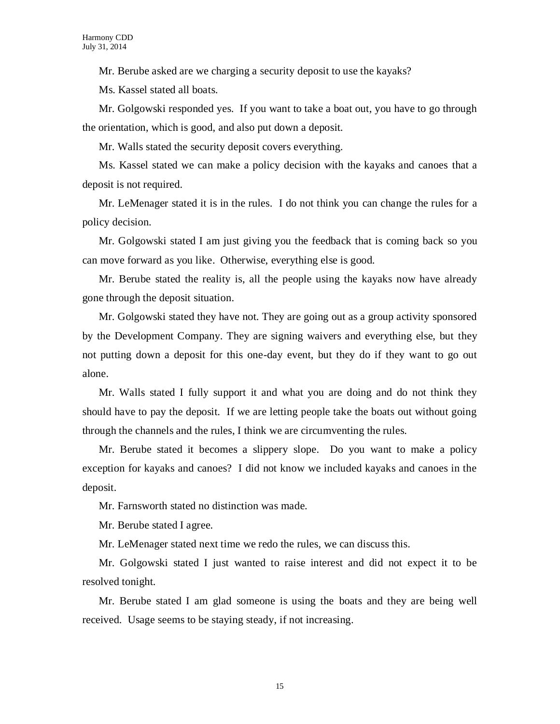Mr. Berube asked are we charging a security deposit to use the kayaks?

Ms. Kassel stated all boats.

Mr. Golgowski responded yes. If you want to take a boat out, you have to go through the orientation, which is good, and also put down a deposit.

Mr. Walls stated the security deposit covers everything.

Ms. Kassel stated we can make a policy decision with the kayaks and canoes that a deposit is not required.

Mr. LeMenager stated it is in the rules. I do not think you can change the rules for a policy decision.

Mr. Golgowski stated I am just giving you the feedback that is coming back so you can move forward as you like. Otherwise, everything else is good.

Mr. Berube stated the reality is, all the people using the kayaks now have already gone through the deposit situation.

Mr. Golgowski stated they have not. They are going out as a group activity sponsored by the Development Company. They are signing waivers and everything else, but they not putting down a deposit for this one-day event, but they do if they want to go out alone.

Mr. Walls stated I fully support it and what you are doing and do not think they should have to pay the deposit. If we are letting people take the boats out without going through the channels and the rules, I think we are circumventing the rules.

Mr. Berube stated it becomes a slippery slope. Do you want to make a policy exception for kayaks and canoes? I did not know we included kayaks and canoes in the deposit.

Mr. Farnsworth stated no distinction was made.

Mr. Berube stated I agree.

Mr. LeMenager stated next time we redo the rules, we can discuss this.

Mr. Golgowski stated I just wanted to raise interest and did not expect it to be resolved tonight.

Mr. Berube stated I am glad someone is using the boats and they are being well received. Usage seems to be staying steady, if not increasing.

15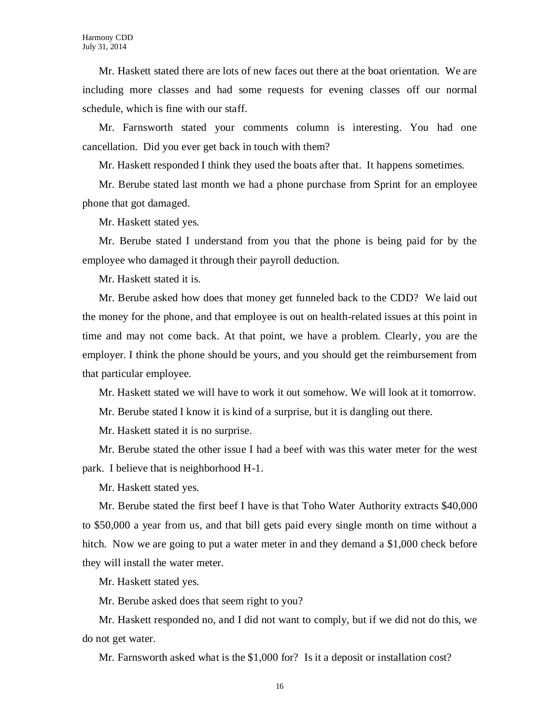Mr. Haskett stated there are lots of new faces out there at the boat orientation. We are including more classes and had some requests for evening classes off our normal schedule, which is fine with our staff.

Mr. Farnsworth stated your comments column is interesting. You had one cancellation. Did you ever get back in touch with them?

Mr. Haskett responded I think they used the boats after that. It happens sometimes.

Mr. Berube stated last month we had a phone purchase from Sprint for an employee phone that got damaged.

Mr. Haskett stated yes.

Mr. Berube stated I understand from you that the phone is being paid for by the employee who damaged it through their payroll deduction.

Mr. Haskett stated it is.

Mr. Berube asked how does that money get funneled back to the CDD? We laid out the money for the phone, and that employee is out on health-related issues at this point in time and may not come back. At that point, we have a problem. Clearly, you are the employer. I think the phone should be yours, and you should get the reimbursement from that particular employee.

Mr. Haskett stated we will have to work it out somehow. We will look at it tomorrow.

Mr. Berube stated I know it is kind of a surprise, but it is dangling out there.

Mr. Haskett stated it is no surprise.

Mr. Berube stated the other issue I had a beef with was this water meter for the west park. I believe that is neighborhood H-1.

Mr. Haskett stated yes.

Mr. Berube stated the first beef I have is that Toho Water Authority extracts \$40,000 to \$50,000 a year from us, and that bill gets paid every single month on time without a hitch. Now we are going to put a water meter in and they demand a \$1,000 check before they will install the water meter.

Mr. Haskett stated yes.

Mr. Berube asked does that seem right to you?

Mr. Haskett responded no, and I did not want to comply, but if we did not do this, we do not get water.

Mr. Farnsworth asked what is the \$1,000 for? Is it a deposit or installation cost?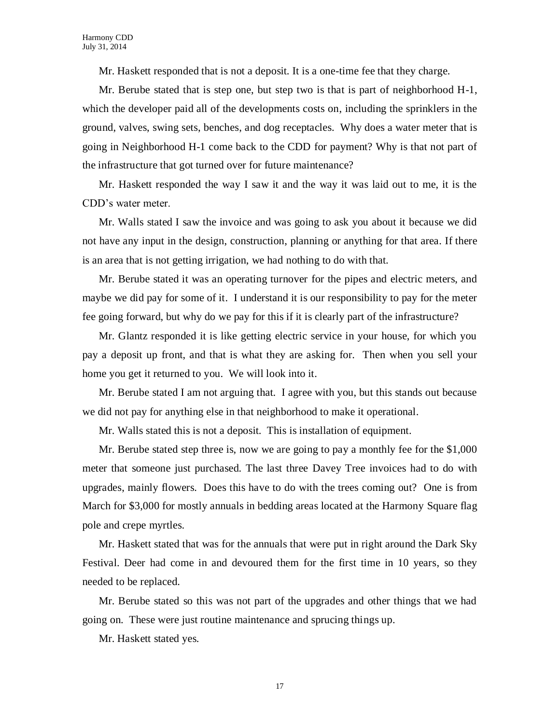Mr. Haskett responded that is not a deposit. It is a one-time fee that they charge.

Mr. Berube stated that is step one, but step two is that is part of neighborhood H-1, which the developer paid all of the developments costs on, including the sprinklers in the ground, valves, swing sets, benches, and dog receptacles. Why does a water meter that is going in Neighborhood H-1 come back to the CDD for payment? Why is that not part of the infrastructure that got turned over for future maintenance?

Mr. Haskett responded the way I saw it and the way it was laid out to me, it is the CDD's water meter.

Mr. Walls stated I saw the invoice and was going to ask you about it because we did not have any input in the design, construction, planning or anything for that area. If there is an area that is not getting irrigation, we had nothing to do with that.

Mr. Berube stated it was an operating turnover for the pipes and electric meters, and maybe we did pay for some of it. I understand it is our responsibility to pay for the meter fee going forward, but why do we pay for this if it is clearly part of the infrastructure?

Mr. Glantz responded it is like getting electric service in your house, for which you pay a deposit up front, and that is what they are asking for. Then when you sell your home you get it returned to you. We will look into it.

Mr. Berube stated I am not arguing that. I agree with you, but this stands out because we did not pay for anything else in that neighborhood to make it operational.

Mr. Walls stated this is not a deposit. This is installation of equipment.

Mr. Berube stated step three is, now we are going to pay a monthly fee for the \$1,000 meter that someone just purchased. The last three Davey Tree invoices had to do with upgrades, mainly flowers. Does this have to do with the trees coming out? One is from March for \$3,000 for mostly annuals in bedding areas located at the Harmony Square flag pole and crepe myrtles.

Mr. Haskett stated that was for the annuals that were put in right around the Dark Sky Festival. Deer had come in and devoured them for the first time in 10 years, so they needed to be replaced.

Mr. Berube stated so this was not part of the upgrades and other things that we had going on. These were just routine maintenance and sprucing things up.

Mr. Haskett stated yes.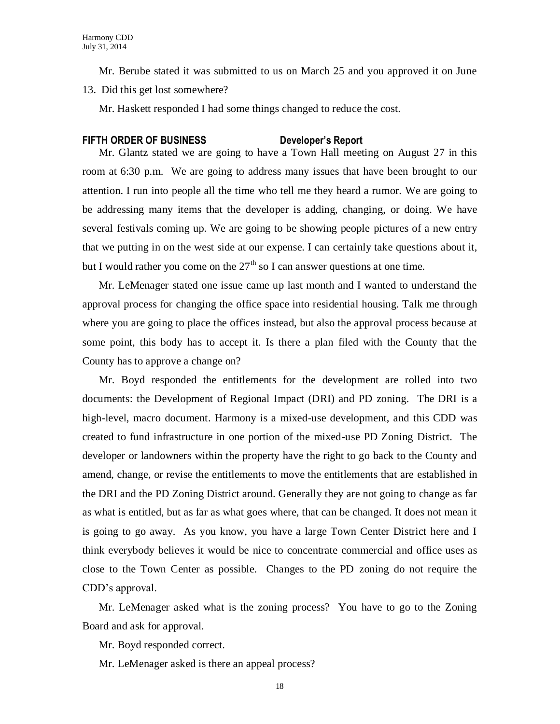Mr. Berube stated it was submitted to us on March 25 and you approved it on June 13. Did this get lost somewhere?

Mr. Haskett responded I had some things changed to reduce the cost.

### **FIFTH ORDER OF BUSINESS Developer's Report**

Mr. Glantz stated we are going to have a Town Hall meeting on August 27 in this room at 6:30 p.m. We are going to address many issues that have been brought to our attention. I run into people all the time who tell me they heard a rumor. We are going to be addressing many items that the developer is adding, changing, or doing. We have several festivals coming up. We are going to be showing people pictures of a new entry that we putting in on the west side at our expense. I can certainly take questions about it, but I would rather you come on the  $27<sup>th</sup>$  so I can answer questions at one time.

Mr. LeMenager stated one issue came up last month and I wanted to understand the approval process for changing the office space into residential housing. Talk me through where you are going to place the offices instead, but also the approval process because at some point, this body has to accept it. Is there a plan filed with the County that the County has to approve a change on?

Mr. Boyd responded the entitlements for the development are rolled into two documents: the Development of Regional Impact (DRI) and PD zoning. The DRI is a high-level, macro document. Harmony is a mixed-use development, and this CDD was created to fund infrastructure in one portion of the mixed-use PD Zoning District. The developer or landowners within the property have the right to go back to the County and amend, change, or revise the entitlements to move the entitlements that are established in the DRI and the PD Zoning District around. Generally they are not going to change as far as what is entitled, but as far as what goes where, that can be changed. It does not mean it is going to go away. As you know, you have a large Town Center District here and I think everybody believes it would be nice to concentrate commercial and office uses as close to the Town Center as possible. Changes to the PD zoning do not require the CDD's approval.

Mr. LeMenager asked what is the zoning process? You have to go to the Zoning Board and ask for approval.

Mr. Boyd responded correct.

Mr. LeMenager asked is there an appeal process?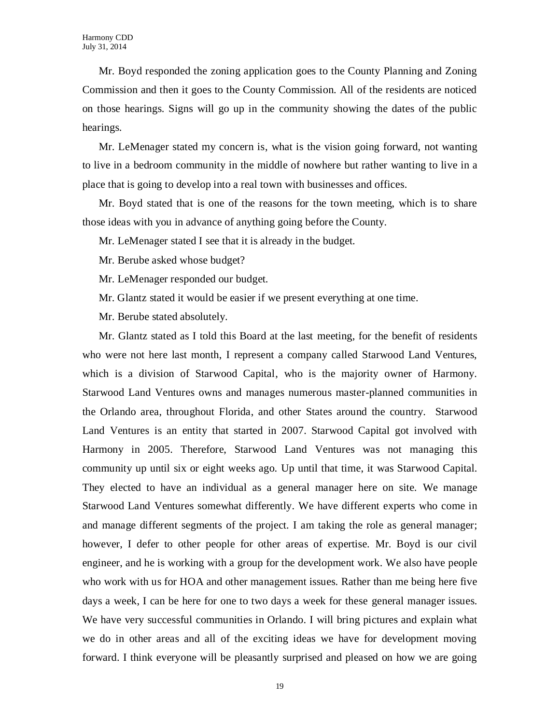Mr. Boyd responded the zoning application goes to the County Planning and Zoning Commission and then it goes to the County Commission. All of the residents are noticed on those hearings. Signs will go up in the community showing the dates of the public hearings.

Mr. LeMenager stated my concern is, what is the vision going forward, not wanting to live in a bedroom community in the middle of nowhere but rather wanting to live in a place that is going to develop into a real town with businesses and offices.

Mr. Boyd stated that is one of the reasons for the town meeting, which is to share those ideas with you in advance of anything going before the County.

Mr. LeMenager stated I see that it is already in the budget.

Mr. Berube asked whose budget?

Mr. LeMenager responded our budget.

Mr. Glantz stated it would be easier if we present everything at one time.

Mr. Berube stated absolutely.

Mr. Glantz stated as I told this Board at the last meeting, for the benefit of residents who were not here last month, I represent a company called Starwood Land Ventures, which is a division of Starwood Capital, who is the majority owner of Harmony. Starwood Land Ventures owns and manages numerous master-planned communities in the Orlando area, throughout Florida, and other States around the country. Starwood Land Ventures is an entity that started in 2007. Starwood Capital got involved with Harmony in 2005. Therefore, Starwood Land Ventures was not managing this community up until six or eight weeks ago. Up until that time, it was Starwood Capital. They elected to have an individual as a general manager here on site. We manage Starwood Land Ventures somewhat differently. We have different experts who come in and manage different segments of the project. I am taking the role as general manager; however, I defer to other people for other areas of expertise. Mr. Boyd is our civil engineer, and he is working with a group for the development work. We also have people who work with us for HOA and other management issues. Rather than me being here five days a week, I can be here for one to two days a week for these general manager issues. We have very successful communities in Orlando. I will bring pictures and explain what we do in other areas and all of the exciting ideas we have for development moving forward. I think everyone will be pleasantly surprised and pleased on how we are going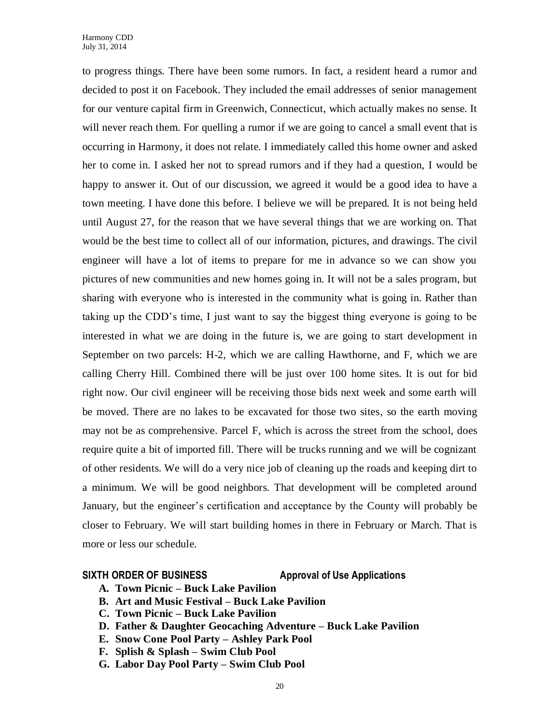to progress things. There have been some rumors. In fact, a resident heard a rumor and decided to post it on Facebook. They included the email addresses of senior management for our venture capital firm in Greenwich, Connecticut, which actually makes no sense. It will never reach them. For quelling a rumor if we are going to cancel a small event that is occurring in Harmony, it does not relate. I immediately called this home owner and asked her to come in. I asked her not to spread rumors and if they had a question, I would be happy to answer it. Out of our discussion, we agreed it would be a good idea to have a town meeting. I have done this before. I believe we will be prepared. It is not being held until August 27, for the reason that we have several things that we are working on. That would be the best time to collect all of our information, pictures, and drawings. The civil engineer will have a lot of items to prepare for me in advance so we can show you pictures of new communities and new homes going in. It will not be a sales program, but sharing with everyone who is interested in the community what is going in. Rather than taking up the CDD's time, I just want to say the biggest thing everyone is going to be interested in what we are doing in the future is, we are going to start development in September on two parcels: H-2, which we are calling Hawthorne, and F, which we are calling Cherry Hill. Combined there will be just over 100 home sites. It is out for bid right now. Our civil engineer will be receiving those bids next week and some earth will be moved. There are no lakes to be excavated for those two sites, so the earth moving may not be as comprehensive. Parcel F, which is across the street from the school, does require quite a bit of imported fill. There will be trucks running and we will be cognizant of other residents. We will do a very nice job of cleaning up the roads and keeping dirt to a minimum. We will be good neighbors. That development will be completed around January, but the engineer's certification and acceptance by the County will probably be closer to February. We will start building homes in there in February or March. That is more or less our schedule.

#### **SIXTH ORDER OF BUSINESS Approval of Use Applications**

- **A. Town Picnic – Buck Lake Pavilion**
- **B. Art and Music Festival – Buck Lake Pavilion**
- **C. Town Picnic – Buck Lake Pavilion**
- **D. Father & Daughter Geocaching Adventure – Buck Lake Pavilion**
- **E. Snow Cone Pool Party – Ashley Park Pool**
- **F. Splish & Splash – Swim Club Pool**
- **G. Labor Day Pool Party – Swim Club Pool**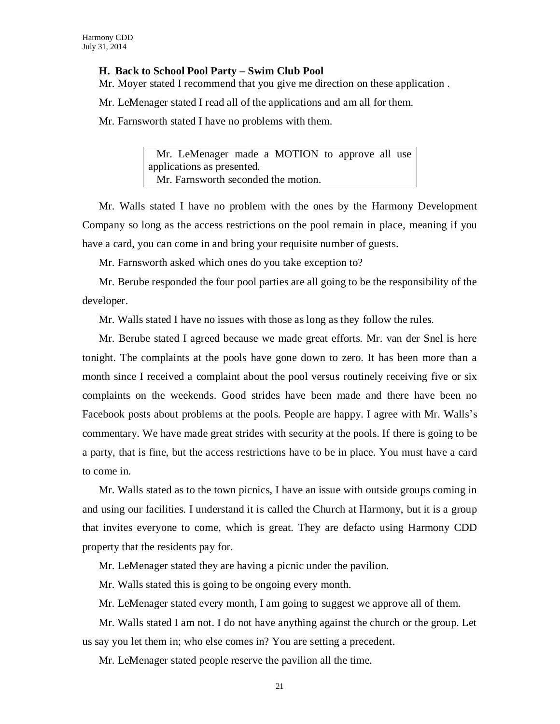#### **H. Back to School Pool Party – Swim Club Pool**

Mr. Moyer stated I recommend that you give me direction on these application .

Mr. LeMenager stated I read all of the applications and am all for them.

Mr. Farnsworth stated I have no problems with them.

 Mr. LeMenager made a MOTION to approve all use applications as presented. Mr. Farnsworth seconded the motion.

Mr. Walls stated I have no problem with the ones by the Harmony Development Company so long as the access restrictions on the pool remain in place, meaning if you have a card, you can come in and bring your requisite number of guests.

Mr. Farnsworth asked which ones do you take exception to?

Mr. Berube responded the four pool parties are all going to be the responsibility of the developer.

Mr. Walls stated I have no issues with those as long as they follow the rules.

Mr. Berube stated I agreed because we made great efforts. Mr. van der Snel is here tonight. The complaints at the pools have gone down to zero. It has been more than a month since I received a complaint about the pool versus routinely receiving five or six complaints on the weekends. Good strides have been made and there have been no Facebook posts about problems at the pools. People are happy. I agree with Mr. Walls's commentary. We have made great strides with security at the pools. If there is going to be a party, that is fine, but the access restrictions have to be in place. You must have a card to come in.

Mr. Walls stated as to the town picnics, I have an issue with outside groups coming in and using our facilities. I understand it is called the Church at Harmony, but it is a group that invites everyone to come, which is great. They are defacto using Harmony CDD property that the residents pay for.

Mr. LeMenager stated they are having a picnic under the pavilion.

Mr. Walls stated this is going to be ongoing every month.

Mr. LeMenager stated every month, I am going to suggest we approve all of them.

Mr. Walls stated I am not. I do not have anything against the church or the group. Let us say you let them in; who else comes in? You are setting a precedent.

Mr. LeMenager stated people reserve the pavilion all the time.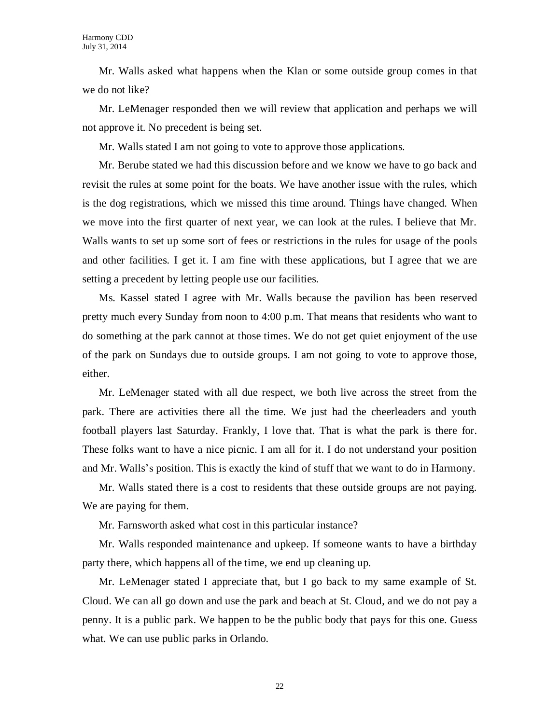Mr. Walls asked what happens when the Klan or some outside group comes in that we do not like?

Mr. LeMenager responded then we will review that application and perhaps we will not approve it. No precedent is being set.

Mr. Walls stated I am not going to vote to approve those applications.

Mr. Berube stated we had this discussion before and we know we have to go back and revisit the rules at some point for the boats. We have another issue with the rules, which is the dog registrations, which we missed this time around. Things have changed. When we move into the first quarter of next year, we can look at the rules. I believe that Mr. Walls wants to set up some sort of fees or restrictions in the rules for usage of the pools and other facilities. I get it. I am fine with these applications, but I agree that we are setting a precedent by letting people use our facilities.

Ms. Kassel stated I agree with Mr. Walls because the pavilion has been reserved pretty much every Sunday from noon to 4:00 p.m. That means that residents who want to do something at the park cannot at those times. We do not get quiet enjoyment of the use of the park on Sundays due to outside groups. I am not going to vote to approve those, either.

Mr. LeMenager stated with all due respect, we both live across the street from the park. There are activities there all the time. We just had the cheerleaders and youth football players last Saturday. Frankly, I love that. That is what the park is there for. These folks want to have a nice picnic. I am all for it. I do not understand your position and Mr. Walls's position. This is exactly the kind of stuff that we want to do in Harmony.

Mr. Walls stated there is a cost to residents that these outside groups are not paying. We are paying for them.

Mr. Farnsworth asked what cost in this particular instance?

Mr. Walls responded maintenance and upkeep. If someone wants to have a birthday party there, which happens all of the time, we end up cleaning up.

Mr. LeMenager stated I appreciate that, but I go back to my same example of St. Cloud. We can all go down and use the park and beach at St. Cloud, and we do not pay a penny. It is a public park. We happen to be the public body that pays for this one. Guess what. We can use public parks in Orlando.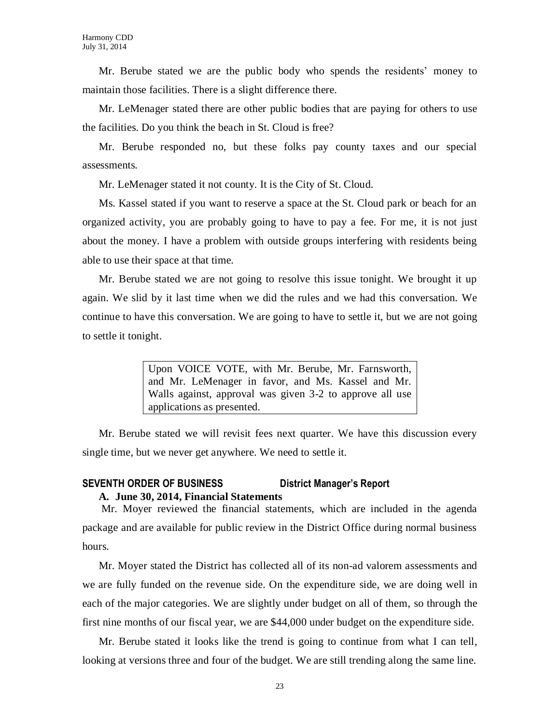Mr. Berube stated we are the public body who spends the residents' money to maintain those facilities. There is a slight difference there.

Mr. LeMenager stated there are other public bodies that are paying for others to use the facilities. Do you think the beach in St. Cloud is free?

Mr. Berube responded no, but these folks pay county taxes and our special assessments.

Mr. LeMenager stated it not county. It is the City of St. Cloud.

Ms. Kassel stated if you want to reserve a space at the St. Cloud park or beach for an organized activity, you are probably going to have to pay a fee. For me, it is not just about the money. I have a problem with outside groups interfering with residents being able to use their space at that time.

Mr. Berube stated we are not going to resolve this issue tonight. We brought it up again. We slid by it last time when we did the rules and we had this conversation. We continue to have this conversation. We are going to have to settle it, but we are not going to settle it tonight.

> Upon VOICE VOTE, with Mr. Berube, Mr. Farnsworth, and Mr. LeMenager in favor, and Ms. Kassel and Mr. Walls against, approval was given 3-2 to approve all use applications as presented.

Mr. Berube stated we will revisit fees next quarter. We have this discussion every single time, but we never get anywhere. We need to settle it.

### **SEVENTH ORDER OF BUSINESS District Manager's Report A. June 30, 2014, Financial Statements**

Mr. Moyer reviewed the financial statements, which are included in the agenda package and are available for public review in the District Office during normal business hours.

Mr. Moyer stated the District has collected all of its non-ad valorem assessments and we are fully funded on the revenue side. On the expenditure side, we are doing well in each of the major categories. We are slightly under budget on all of them, so through the first nine months of our fiscal year, we are \$44,000 under budget on the expenditure side.

Mr. Berube stated it looks like the trend is going to continue from what I can tell, looking at versions three and four of the budget. We are still trending along the same line.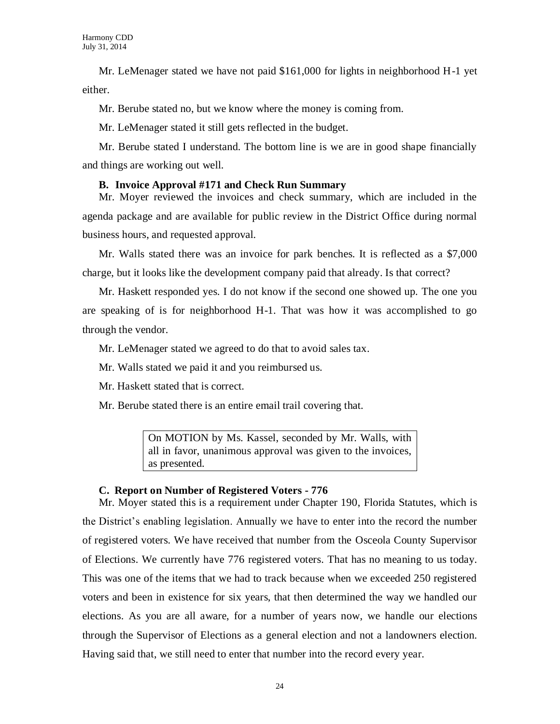Mr. LeMenager stated we have not paid \$161,000 for lights in neighborhood H-1 yet either.

Mr. Berube stated no, but we know where the money is coming from.

Mr. LeMenager stated it still gets reflected in the budget.

Mr. Berube stated I understand. The bottom line is we are in good shape financially and things are working out well.

### **B. Invoice Approval #171 and Check Run Summary**

Mr. Moyer reviewed the invoices and check summary, which are included in the agenda package and are available for public review in the District Office during normal business hours, and requested approval.

Mr. Walls stated there was an invoice for park benches. It is reflected as a \$7,000 charge, but it looks like the development company paid that already. Is that correct?

Mr. Haskett responded yes. I do not know if the second one showed up. The one you are speaking of is for neighborhood H-1. That was how it was accomplished to go through the vendor.

Mr. LeMenager stated we agreed to do that to avoid sales tax.

Mr. Walls stated we paid it and you reimbursed us.

Mr. Haskett stated that is correct.

Mr. Berube stated there is an entire email trail covering that.

On MOTION by Ms. Kassel, seconded by Mr. Walls, with all in favor, unanimous approval was given to the invoices, as presented.

# **C. Report on Number of Registered Voters - 776**

Mr. Moyer stated this is a requirement under Chapter 190, Florida Statutes, which is the District's enabling legislation. Annually we have to enter into the record the number of registered voters. We have received that number from the Osceola County Supervisor of Elections. We currently have 776 registered voters. That has no meaning to us today. This was one of the items that we had to track because when we exceeded 250 registered voters and been in existence for six years, that then determined the way we handled our elections. As you are all aware, for a number of years now, we handle our elections through the Supervisor of Elections as a general election and not a landowners election. Having said that, we still need to enter that number into the record every year.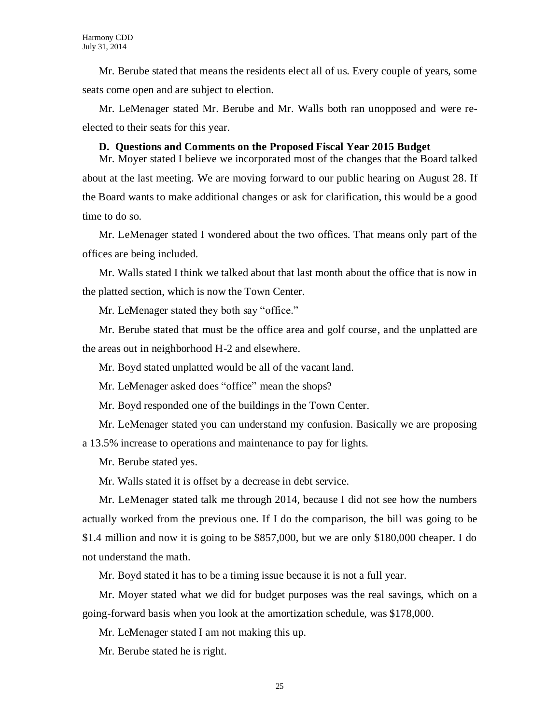Mr. Berube stated that means the residents elect all of us. Every couple of years, some seats come open and are subject to election.

Mr. LeMenager stated Mr. Berube and Mr. Walls both ran unopposed and were reelected to their seats for this year.

#### **D. Questions and Comments on the Proposed Fiscal Year 2015 Budget**

Mr. Moyer stated I believe we incorporated most of the changes that the Board talked about at the last meeting. We are moving forward to our public hearing on August 28. If the Board wants to make additional changes or ask for clarification, this would be a good time to do so.

Mr. LeMenager stated I wondered about the two offices. That means only part of the offices are being included.

Mr. Walls stated I think we talked about that last month about the office that is now in the platted section, which is now the Town Center.

Mr. LeMenager stated they both say "office."

Mr. Berube stated that must be the office area and golf course, and the unplatted are the areas out in neighborhood H-2 and elsewhere.

Mr. Boyd stated unplatted would be all of the vacant land.

Mr. LeMenager asked does "office" mean the shops?

Mr. Boyd responded one of the buildings in the Town Center.

Mr. LeMenager stated you can understand my confusion. Basically we are proposing a 13.5% increase to operations and maintenance to pay for lights.

Mr. Berube stated yes.

Mr. Walls stated it is offset by a decrease in debt service.

Mr. LeMenager stated talk me through 2014, because I did not see how the numbers actually worked from the previous one. If I do the comparison, the bill was going to be \$1.4 million and now it is going to be \$857,000, but we are only \$180,000 cheaper. I do not understand the math.

Mr. Boyd stated it has to be a timing issue because it is not a full year.

Mr. Moyer stated what we did for budget purposes was the real savings, which on a going-forward basis when you look at the amortization schedule, was \$178,000.

Mr. LeMenager stated I am not making this up.

Mr. Berube stated he is right.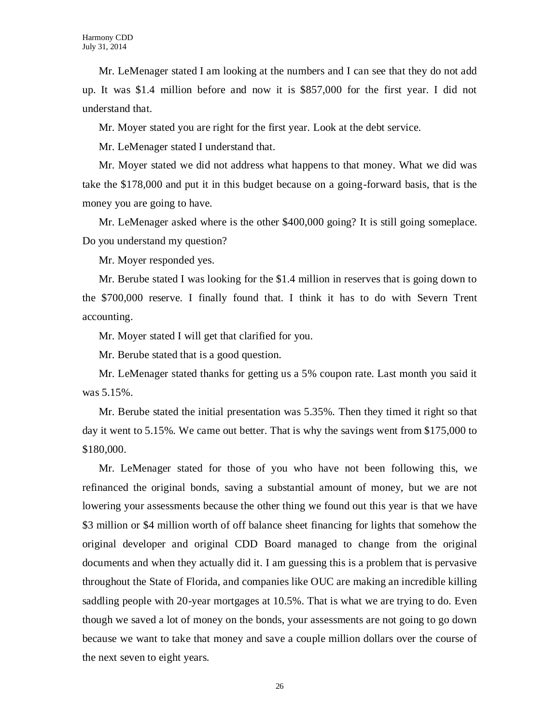Mr. LeMenager stated I am looking at the numbers and I can see that they do not add up. It was \$1.4 million before and now it is \$857,000 for the first year. I did not understand that.

Mr. Moyer stated you are right for the first year. Look at the debt service.

Mr. LeMenager stated I understand that.

Mr. Moyer stated we did not address what happens to that money. What we did was take the \$178,000 and put it in this budget because on a going-forward basis, that is the money you are going to have.

Mr. LeMenager asked where is the other \$400,000 going? It is still going someplace. Do you understand my question?

Mr. Moyer responded yes.

Mr. Berube stated I was looking for the \$1.4 million in reserves that is going down to the \$700,000 reserve. I finally found that. I think it has to do with Severn Trent accounting.

Mr. Moyer stated I will get that clarified for you.

Mr. Berube stated that is a good question.

Mr. LeMenager stated thanks for getting us a 5% coupon rate. Last month you said it was 5.15%.

Mr. Berube stated the initial presentation was 5.35%. Then they timed it right so that day it went to 5.15%. We came out better. That is why the savings went from \$175,000 to \$180,000.

Mr. LeMenager stated for those of you who have not been following this, we refinanced the original bonds, saving a substantial amount of money, but we are not lowering your assessments because the other thing we found out this year is that we have \$3 million or \$4 million worth of off balance sheet financing for lights that somehow the original developer and original CDD Board managed to change from the original documents and when they actually did it. I am guessing this is a problem that is pervasive throughout the State of Florida, and companies like OUC are making an incredible killing saddling people with 20-year mortgages at 10.5%. That is what we are trying to do. Even though we saved a lot of money on the bonds, your assessments are not going to go down because we want to take that money and save a couple million dollars over the course of the next seven to eight years.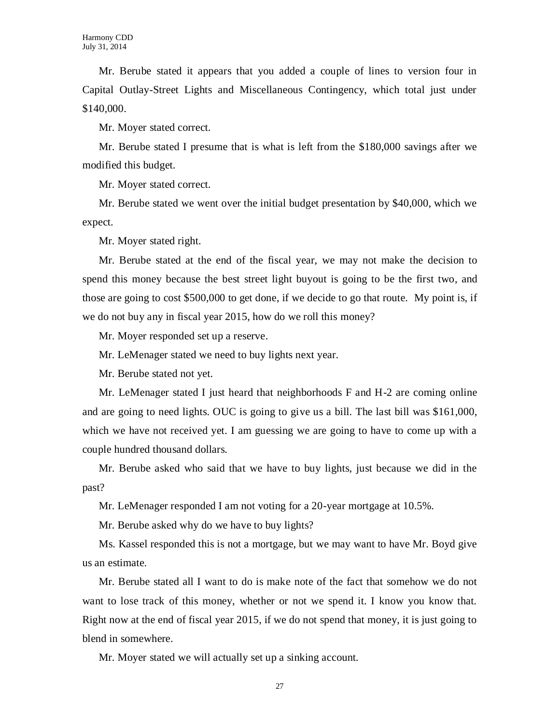Mr. Berube stated it appears that you added a couple of lines to version four in Capital Outlay-Street Lights and Miscellaneous Contingency, which total just under \$140,000.

Mr. Moyer stated correct.

Mr. Berube stated I presume that is what is left from the \$180,000 savings after we modified this budget.

Mr. Moyer stated correct.

Mr. Berube stated we went over the initial budget presentation by \$40,000, which we expect.

Mr. Moyer stated right.

Mr. Berube stated at the end of the fiscal year, we may not make the decision to spend this money because the best street light buyout is going to be the first two, and those are going to cost \$500,000 to get done, if we decide to go that route. My point is, if we do not buy any in fiscal year 2015, how do we roll this money?

Mr. Moyer responded set up a reserve.

Mr. LeMenager stated we need to buy lights next year.

Mr. Berube stated not yet.

Mr. LeMenager stated I just heard that neighborhoods F and H-2 are coming online and are going to need lights. OUC is going to give us a bill. The last bill was \$161,000, which we have not received yet. I am guessing we are going to have to come up with a couple hundred thousand dollars.

Mr. Berube asked who said that we have to buy lights, just because we did in the past?

Mr. LeMenager responded I am not voting for a 20-year mortgage at 10.5%.

Mr. Berube asked why do we have to buy lights?

Ms. Kassel responded this is not a mortgage, but we may want to have Mr. Boyd give us an estimate.

Mr. Berube stated all I want to do is make note of the fact that somehow we do not want to lose track of this money, whether or not we spend it. I know you know that. Right now at the end of fiscal year 2015, if we do not spend that money, it is just going to blend in somewhere.

Mr. Moyer stated we will actually set up a sinking account.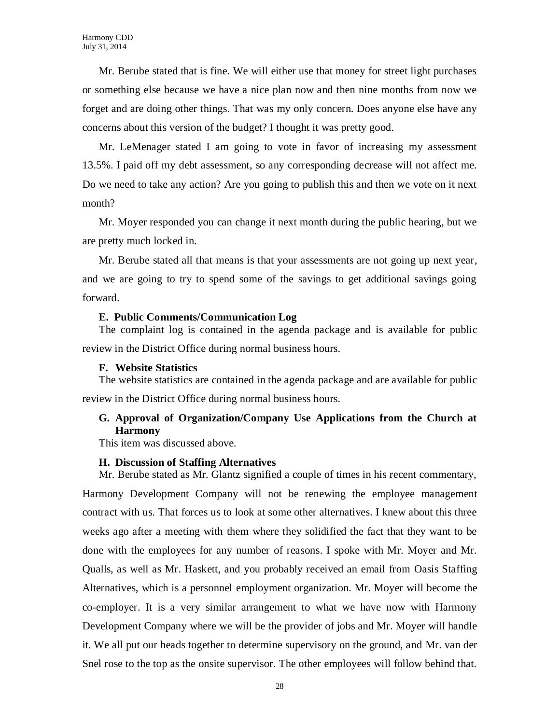Mr. Berube stated that is fine. We will either use that money for street light purchases or something else because we have a nice plan now and then nine months from now we forget and are doing other things. That was my only concern. Does anyone else have any concerns about this version of the budget? I thought it was pretty good.

Mr. LeMenager stated I am going to vote in favor of increasing my assessment 13.5%. I paid off my debt assessment, so any corresponding decrease will not affect me. Do we need to take any action? Are you going to publish this and then we vote on it next month?

Mr. Moyer responded you can change it next month during the public hearing, but we are pretty much locked in.

Mr. Berube stated all that means is that your assessments are not going up next year, and we are going to try to spend some of the savings to get additional savings going forward.

### **E. Public Comments/Communication Log**

The complaint log is contained in the agenda package and is available for public review in the District Office during normal business hours.

#### **F. Website Statistics**

The website statistics are contained in the agenda package and are available for public review in the District Office during normal business hours.

# **G. Approval of Organization/Company Use Applications from the Church at Harmony**

This item was discussed above.

#### **H. Discussion of Staffing Alternatives**

Mr. Berube stated as Mr. Glantz signified a couple of times in his recent commentary, Harmony Development Company will not be renewing the employee management contract with us. That forces us to look at some other alternatives. I knew about this three weeks ago after a meeting with them where they solidified the fact that they want to be done with the employees for any number of reasons. I spoke with Mr. Moyer and Mr. Qualls, as well as Mr. Haskett, and you probably received an email from Oasis Staffing Alternatives, which is a personnel employment organization. Mr. Moyer will become the co-employer. It is a very similar arrangement to what we have now with Harmony Development Company where we will be the provider of jobs and Mr. Moyer will handle it. We all put our heads together to determine supervisory on the ground, and Mr. van der Snel rose to the top as the onsite supervisor. The other employees will follow behind that.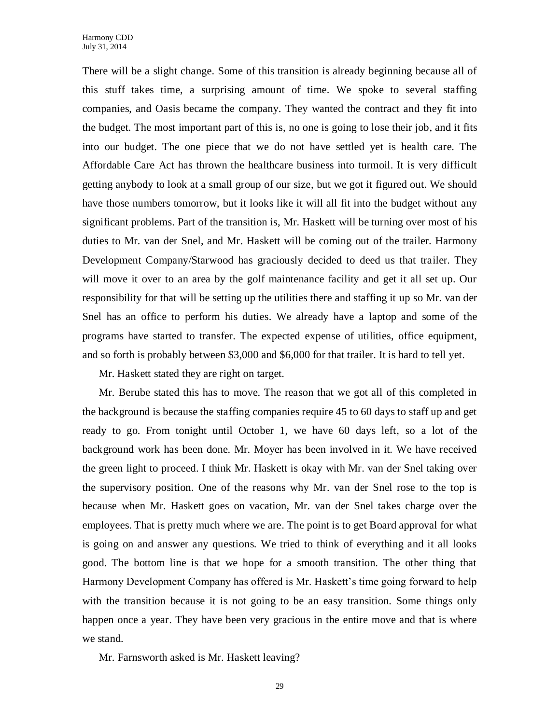There will be a slight change. Some of this transition is already beginning because all of this stuff takes time, a surprising amount of time. We spoke to several staffing companies, and Oasis became the company. They wanted the contract and they fit into the budget. The most important part of this is, no one is going to lose their job, and it fits into our budget. The one piece that we do not have settled yet is health care. The Affordable Care Act has thrown the healthcare business into turmoil. It is very difficult getting anybody to look at a small group of our size, but we got it figured out. We should have those numbers tomorrow, but it looks like it will all fit into the budget without any significant problems. Part of the transition is, Mr. Haskett will be turning over most of his duties to Mr. van der Snel, and Mr. Haskett will be coming out of the trailer. Harmony Development Company/Starwood has graciously decided to deed us that trailer. They will move it over to an area by the golf maintenance facility and get it all set up. Our responsibility for that will be setting up the utilities there and staffing it up so Mr. van der Snel has an office to perform his duties. We already have a laptop and some of the programs have started to transfer. The expected expense of utilities, office equipment, and so forth is probably between \$3,000 and \$6,000 for that trailer. It is hard to tell yet.

Mr. Haskett stated they are right on target.

Mr. Berube stated this has to move. The reason that we got all of this completed in the background is because the staffing companies require 45 to 60 days to staff up and get ready to go. From tonight until October 1, we have 60 days left, so a lot of the background work has been done. Mr. Moyer has been involved in it. We have received the green light to proceed. I think Mr. Haskett is okay with Mr. van der Snel taking over the supervisory position. One of the reasons why Mr. van der Snel rose to the top is because when Mr. Haskett goes on vacation, Mr. van der Snel takes charge over the employees. That is pretty much where we are. The point is to get Board approval for what is going on and answer any questions. We tried to think of everything and it all looks good. The bottom line is that we hope for a smooth transition. The other thing that Harmony Development Company has offered is Mr. Haskett's time going forward to help with the transition because it is not going to be an easy transition. Some things only happen once a year. They have been very gracious in the entire move and that is where we stand.

Mr. Farnsworth asked is Mr. Haskett leaving?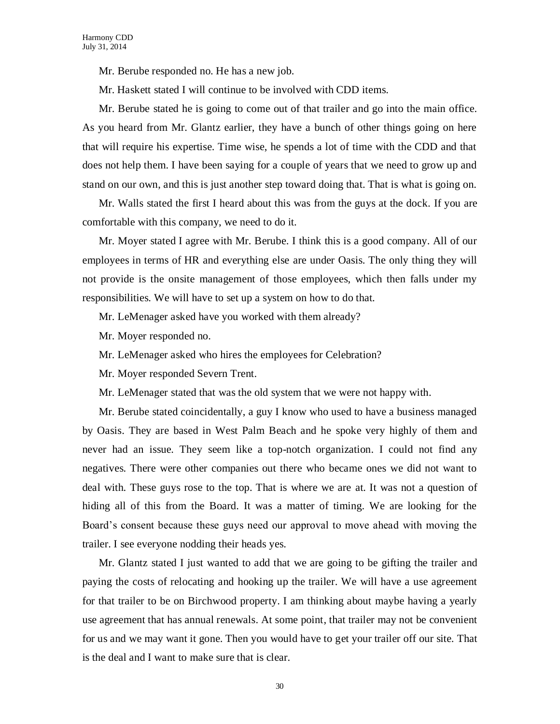Mr. Berube responded no. He has a new job.

Mr. Haskett stated I will continue to be involved with CDD items.

Mr. Berube stated he is going to come out of that trailer and go into the main office. As you heard from Mr. Glantz earlier, they have a bunch of other things going on here that will require his expertise. Time wise, he spends a lot of time with the CDD and that does not help them. I have been saying for a couple of years that we need to grow up and stand on our own, and this is just another step toward doing that. That is what is going on.

Mr. Walls stated the first I heard about this was from the guys at the dock. If you are comfortable with this company, we need to do it.

Mr. Moyer stated I agree with Mr. Berube. I think this is a good company. All of our employees in terms of HR and everything else are under Oasis. The only thing they will not provide is the onsite management of those employees, which then falls under my responsibilities. We will have to set up a system on how to do that.

Mr. LeMenager asked have you worked with them already?

Mr. Moyer responded no.

Mr. LeMenager asked who hires the employees for Celebration?

Mr. Moyer responded Severn Trent.

Mr. LeMenager stated that was the old system that we were not happy with.

Mr. Berube stated coincidentally, a guy I know who used to have a business managed by Oasis. They are based in West Palm Beach and he spoke very highly of them and never had an issue. They seem like a top-notch organization. I could not find any negatives. There were other companies out there who became ones we did not want to deal with. These guys rose to the top. That is where we are at. It was not a question of hiding all of this from the Board. It was a matter of timing. We are looking for the Board's consent because these guys need our approval to move ahead with moving the trailer. I see everyone nodding their heads yes.

Mr. Glantz stated I just wanted to add that we are going to be gifting the trailer and paying the costs of relocating and hooking up the trailer. We will have a use agreement for that trailer to be on Birchwood property. I am thinking about maybe having a yearly use agreement that has annual renewals. At some point, that trailer may not be convenient for us and we may want it gone. Then you would have to get your trailer off our site. That is the deal and I want to make sure that is clear.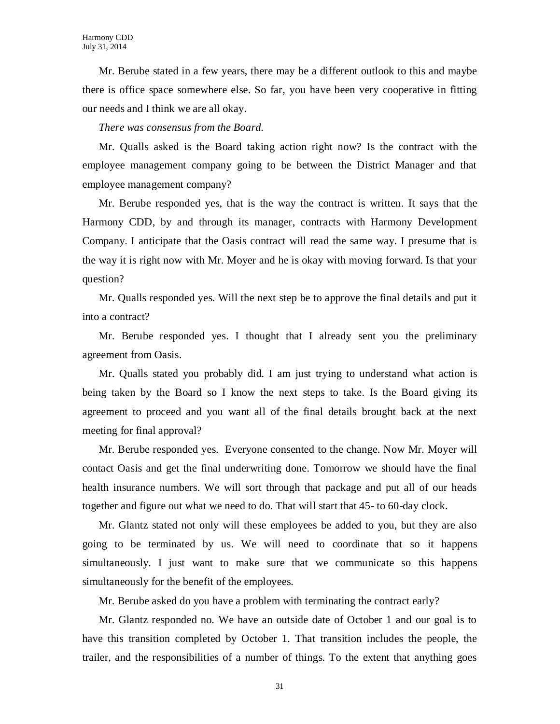Mr. Berube stated in a few years, there may be a different outlook to this and maybe there is office space somewhere else. So far, you have been very cooperative in fitting our needs and I think we are all okay.

*There was consensus from the Board.*

Mr. Qualls asked is the Board taking action right now? Is the contract with the employee management company going to be between the District Manager and that employee management company?

Mr. Berube responded yes, that is the way the contract is written. It says that the Harmony CDD, by and through its manager, contracts with Harmony Development Company. I anticipate that the Oasis contract will read the same way. I presume that is the way it is right now with Mr. Moyer and he is okay with moving forward. Is that your question?

Mr. Qualls responded yes. Will the next step be to approve the final details and put it into a contract?

Mr. Berube responded yes. I thought that I already sent you the preliminary agreement from Oasis.

Mr. Qualls stated you probably did. I am just trying to understand what action is being taken by the Board so I know the next steps to take. Is the Board giving its agreement to proceed and you want all of the final details brought back at the next meeting for final approval?

Mr. Berube responded yes. Everyone consented to the change. Now Mr. Moyer will contact Oasis and get the final underwriting done. Tomorrow we should have the final health insurance numbers. We will sort through that package and put all of our heads together and figure out what we need to do. That will start that 45- to 60-day clock.

Mr. Glantz stated not only will these employees be added to you, but they are also going to be terminated by us. We will need to coordinate that so it happens simultaneously. I just want to make sure that we communicate so this happens simultaneously for the benefit of the employees.

Mr. Berube asked do you have a problem with terminating the contract early?

Mr. Glantz responded no. We have an outside date of October 1 and our goal is to have this transition completed by October 1. That transition includes the people, the trailer, and the responsibilities of a number of things. To the extent that anything goes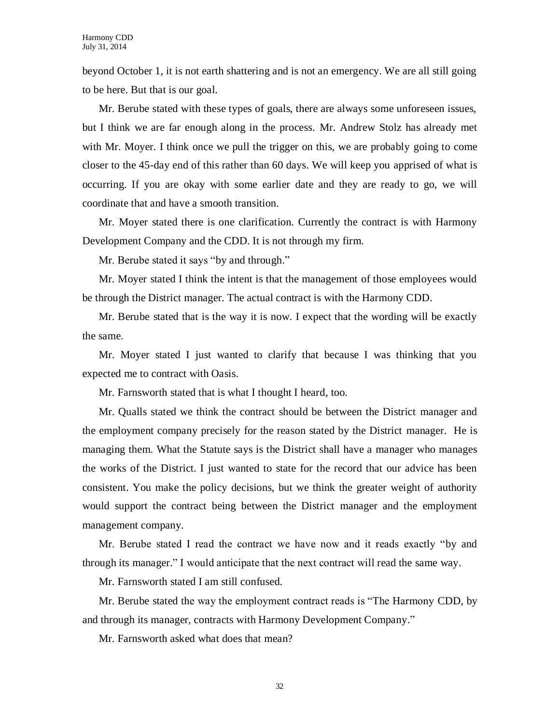beyond October 1, it is not earth shattering and is not an emergency. We are all still going to be here. But that is our goal.

Mr. Berube stated with these types of goals, there are always some unforeseen issues, but I think we are far enough along in the process. Mr. Andrew Stolz has already met with Mr. Moyer. I think once we pull the trigger on this, we are probably going to come closer to the 45-day end of this rather than 60 days. We will keep you apprised of what is occurring. If you are okay with some earlier date and they are ready to go, we will coordinate that and have a smooth transition.

Mr. Moyer stated there is one clarification. Currently the contract is with Harmony Development Company and the CDD. It is not through my firm.

Mr. Berube stated it says "by and through."

Mr. Moyer stated I think the intent is that the management of those employees would be through the District manager. The actual contract is with the Harmony CDD.

Mr. Berube stated that is the way it is now. I expect that the wording will be exactly the same.

Mr. Moyer stated I just wanted to clarify that because I was thinking that you expected me to contract with Oasis.

Mr. Farnsworth stated that is what I thought I heard, too.

Mr. Qualls stated we think the contract should be between the District manager and the employment company precisely for the reason stated by the District manager. He is managing them. What the Statute says is the District shall have a manager who manages the works of the District. I just wanted to state for the record that our advice has been consistent. You make the policy decisions, but we think the greater weight of authority would support the contract being between the District manager and the employment management company.

Mr. Berube stated I read the contract we have now and it reads exactly "by and through its manager." I would anticipate that the next contract will read the same way.

Mr. Farnsworth stated I am still confused.

Mr. Berube stated the way the employment contract reads is "The Harmony CDD, by and through its manager, contracts with Harmony Development Company."

Mr. Farnsworth asked what does that mean?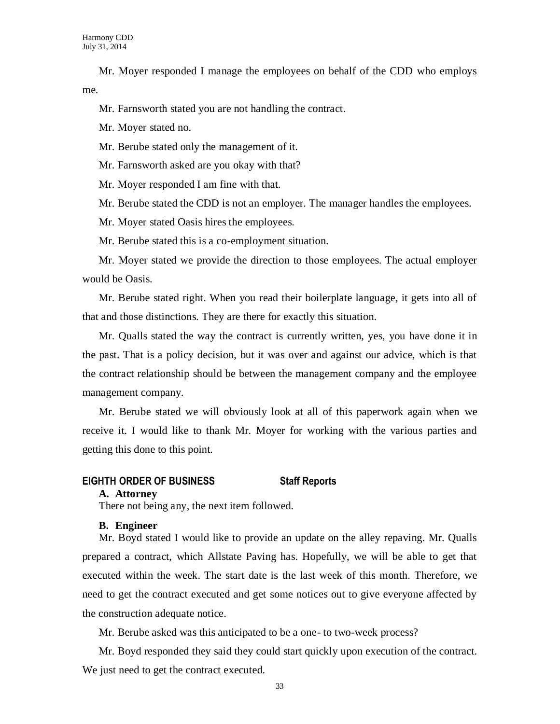Mr. Moyer responded I manage the employees on behalf of the CDD who employs me.

Mr. Farnsworth stated you are not handling the contract.

Mr. Moyer stated no.

Mr. Berube stated only the management of it.

Mr. Farnsworth asked are you okay with that?

Mr. Moyer responded I am fine with that.

Mr. Berube stated the CDD is not an employer. The manager handles the employees.

Mr. Moyer stated Oasis hires the employees.

Mr. Berube stated this is a co-employment situation.

Mr. Moyer stated we provide the direction to those employees. The actual employer would be Oasis.

Mr. Berube stated right. When you read their boilerplate language, it gets into all of that and those distinctions. They are there for exactly this situation.

Mr. Qualls stated the way the contract is currently written, yes, you have done it in the past. That is a policy decision, but it was over and against our advice, which is that the contract relationship should be between the management company and the employee management company.

Mr. Berube stated we will obviously look at all of this paperwork again when we receive it. I would like to thank Mr. Moyer for working with the various parties and getting this done to this point.

### **EIGHTH ORDER OF BUSINESS Staff Reports**

#### **A. Attorney**

There not being any, the next item followed.

#### **B. Engineer**

Mr. Boyd stated I would like to provide an update on the alley repaving. Mr. Qualls prepared a contract, which Allstate Paving has. Hopefully, we will be able to get that executed within the week. The start date is the last week of this month. Therefore, we need to get the contract executed and get some notices out to give everyone affected by the construction adequate notice.

Mr. Berube asked was this anticipated to be a one- to two-week process?

Mr. Boyd responded they said they could start quickly upon execution of the contract. We just need to get the contract executed.